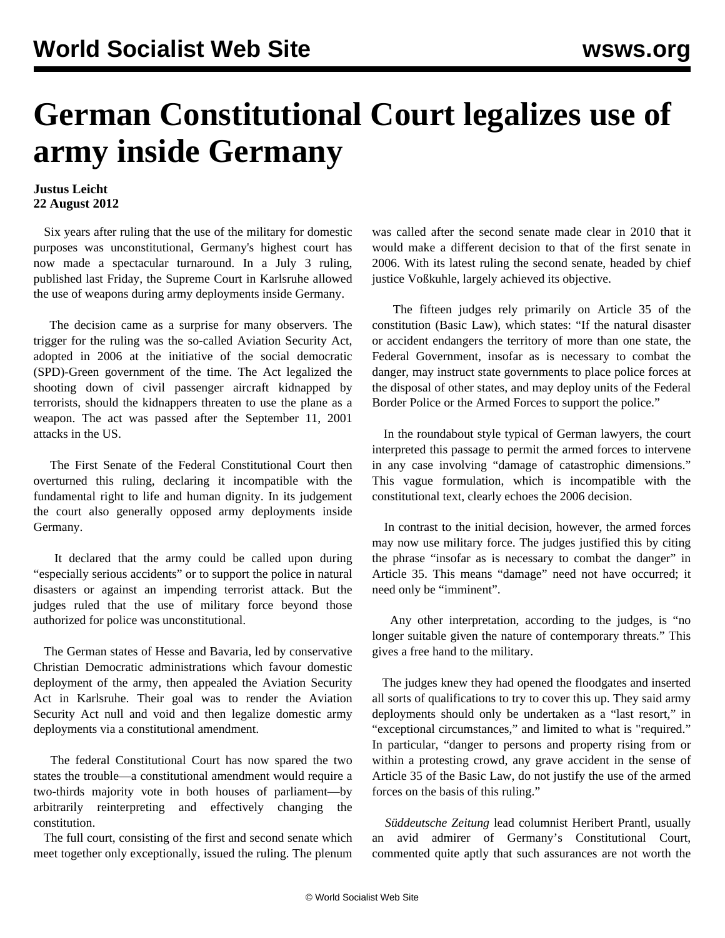## **German Constitutional Court legalizes use of army inside Germany**

## **Justus Leicht 22 August 2012**

 Six years after ruling that the use of the military for domestic purposes was unconstitutional, Germany's highest court has now made a spectacular turnaround. In a July 3 ruling, published last Friday, the Supreme Court in Karlsruhe allowed the use of weapons during army deployments inside Germany.

 The decision came as a surprise for many observers. The trigger for the ruling was the so-called Aviation Security Act, adopted in 2006 at the initiative of the social democratic (SPD)-Green government of the time. The Act legalized the shooting down of civil passenger aircraft kidnapped by terrorists, should the kidnappers threaten to use the plane as a weapon. The act was passed after the September 11, 2001 attacks in the US.

 The First Senate of the Federal Constitutional Court then overturned this ruling, declaring it incompatible with the fundamental right to life and human dignity. In its judgement the court also generally opposed army deployments inside Germany.

 It declared that the army could be called upon during "especially serious accidents" or to support the police in natural disasters or against an impending terrorist attack. But the judges ruled that the use of military force beyond those authorized for police was unconstitutional.

 The German states of Hesse and Bavaria, led by conservative Christian Democratic administrations which favour domestic deployment of the army, then appealed the Aviation Security Act in Karlsruhe. Their goal was to render the Aviation Security Act null and void and then legalize domestic army deployments via a constitutional amendment.

 The federal Constitutional Court has now spared the two states the trouble—a constitutional amendment would require a two-thirds majority vote in both houses of parliament—by arbitrarily reinterpreting and effectively changing the constitution.

 The full court, consisting of the first and second senate which meet together only exceptionally, issued the ruling. The plenum was called after the second senate made clear in 2010 that it would make a different decision to that of the first senate in 2006. With its latest ruling the second senate, headed by chief justice Voßkuhle, largely achieved its objective.

 The fifteen judges rely primarily on Article 35 of the constitution (Basic Law), which states: "If the natural disaster or accident endangers the territory of more than one state, the Federal Government, insofar as is necessary to combat the danger, may instruct state governments to place police forces at the disposal of other states, and may deploy units of the Federal Border Police or the Armed Forces to support the police."

 In the roundabout style typical of German lawyers, the court interpreted this passage to permit the armed forces to intervene in any case involving "damage of catastrophic dimensions." This vague formulation, which is incompatible with the constitutional text, clearly echoes the 2006 decision.

 In contrast to the initial decision, however, the armed forces may now use military force. The judges justified this by citing the phrase "insofar as is necessary to combat the danger" in Article 35. This means "damage" need not have occurred; it need only be "imminent".

 Any other interpretation, according to the judges, is "no longer suitable given the nature of contemporary threats." This gives a free hand to the military.

 The judges knew they had opened the floodgates and inserted all sorts of qualifications to try to cover this up. They said army deployments should only be undertaken as a "last resort," in "exceptional circumstances," and limited to what is "required." In particular, "danger to persons and property rising from or within a protesting crowd, any grave accident in the sense of Article 35 of the Basic Law, do not justify the use of the armed forces on the basis of this ruling."

 *Süddeutsche Zeitung* lead columnist Heribert Prantl, usually an avid admirer of Germany's Constitutional Court, commented quite aptly that such assurances are not worth the